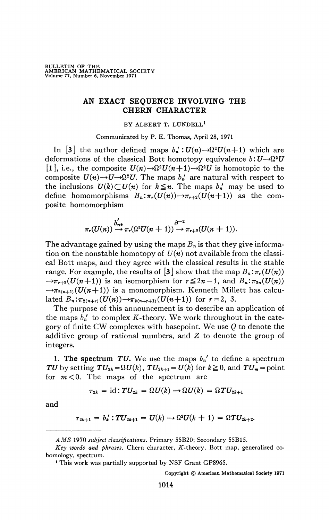## **AN EXACT SEQUENCE INVOLVING THE CHERN CHARACTER**

## BY ALBERT T. LUNDELL<sup>1</sup>

Communicated by P. E. Thomas, April 28, 1971

In [3] the author defined maps  $b'_n$ :  $U(n) \rightarrow \Omega^2 U(n+1)$  which are deformations of the classical Bott homotopy equivalence  $b:U\rightarrow \Omega^2 U$ [1], i.e., the composite  $U(n) \rightarrow \Omega^2 U(n+1) \rightarrow \Omega^2 U$  is homotopic to the composite  $U(n) \rightarrow U \rightarrow \Omega^2 U$ . The maps  $b_n$  are natural with respect to the inclusions  $U(k) \subset U(n)$  for  $k \leq n$ . The maps  $b_n'$  may be used to define homomorphisms  $B_n: \pi_r(U(n)) \to \pi_{r+2}(U(n+1))$  as the composite homomorphism

$$
\pi_r(U(n)) \stackrel{b'_{n*}}{\rightarrow} \pi_r(\Omega^2 U(n+1)) \stackrel{\partial^{-2}}{\rightarrow} \pi_{r+2}(U(n+1)).
$$

The advantage gained by using the maps *Bn* is that they give information on the nonstable homotopy of  $U(n)$  not available from the classical Bott maps, and they agree with the classical results in the stable range. For example, the results of  $\left[3\right]$  show that the map  $B_n : \pi_r(U(n))$  $\rightarrow \pi_{r+2}(U(n+1))$  is an isomorphism for  $r \leq 2n - 1$ , and  $B_n : \pi_{2n}(U(n))$  $\rightarrow \pi_{2(n+1)}(U(n+1))$  is a monomorphism. Kenneth Millett has calculated  $B_n: \pi_{2(n+r)}(U(n)) \to \pi_{2(n+r+1)}(U(n+1))$  for  $r = 2, 3$ .

The purpose of this announcement is to describe an application of the maps  $b_n'$  to complex K-theory. We work throughout in the category of finite CW complexes with basepoint. We use *Q* to denote the additive group of rational numbers, and *Z* to denote the group of integers.

1. The spectrum TU. We use the maps  $b_n'$  to define a spectrum *TU* by setting  $TU_{2k} = \Omega U(k)$ ,  $TU_{2k+1} = U(k)$  for  $k \ge 0$ , and  $TU_m = \text{point}$ for *m<0.* The maps of the spectrum are

$$
\tau_{2k} = \mathrm{id}: TU_{2k} = \Omega U(k) \rightarrow \Omega U(k) = \Omega TU_{2k+1}
$$

and

$$
\tau_{2k+1} = b'_k : TU_{2k+1} = U(k) \to \Omega^2 U(k+1) = \Omega T U_{2k+2}.
$$

*AMS* 1970 *subject classifications.* Primary 55B20; Secondary 55B15.

*Key words and phrases.* Chern character, *K*-theory, Bott map, generalized cohomology, spectrum.

<sup>1</sup> This work was partially supported by NSF Grant GP8965.

Copyright © American Mathematical Society 1971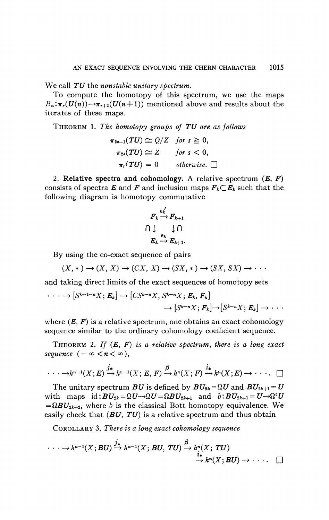We call TU the nonstable unitary spectrum.

To compute the homotopy of this spectrum, we use the maps  $B_n: \pi_r(U(n)) \to \pi_{r+2}(U(n+1))$  mentioned above and results about the iterates of these maps.

THEOREM 1. The homotopy groups of TU are as follows

$$
\pi_{2s-1}(TU) \cong Q/Z \quad \text{for } s \geq 0,
$$
  
\n
$$
\pi_{2s}(TU) \cong Z \quad \text{for } s < 0,
$$
  
\n
$$
\pi_r(TU) = 0 \quad \text{otherwise.} \square
$$

2. Relative spectra and cohomology. A relative spectrum  $(E, F)$ consists of spectra E and F and inclusion maps  $F_k \subset E_k$  such that the following diagram is homotopy commutative

$$
F_k \xrightarrow{\epsilon'_k} F_{k+1}
$$
  

$$
\bigcap \downarrow \qquad \downarrow \bigcap
$$
  

$$
E_k \xrightarrow{\epsilon_k} E_{k+1}.
$$

By using the co-exact sequence of pairs

$$
(X, *) \rightarrow (X, X) \rightarrow (CX, X) \rightarrow (SX, *) \rightarrow (SX, SX) \rightarrow \cdots
$$

and taking direct limits of the exact sequences of homotopy sets

$$
\cdots \longrightarrow [S^{k+1-n}X; E_k] \longrightarrow [CS^{k-n}X, S^{k-n}X; E_k, F_k] \longrightarrow [S^{k-n}X; F_k] \longrightarrow [S^{k-n}X; E_k] \longrightarrow \cdots
$$

where  $(E, F)$  is a relative spectrum, one obtains an exact cohomology sequence similar to the ordinary cohomology coefficient sequence.

THEOREM 2. If  $(E, F)$  is a relative spectrum, there is a long exact sequence  $(-\infty < n < \infty)$ ,

$$
\cdots \longrightarrow h^{n-1}(X; E) \xrightarrow{j_*} h^{n-1}(X; E, F) \xrightarrow{\beta} h^n(X; F) \xrightarrow{i_*} h^n(X; E) \longrightarrow \cdots
$$

The unitary spectrum BU is defined by  $BU_{2k} = \Omega U$  and  $BU_{2k+1} = U$ with maps  $id: BU_{2k} = \Omega U \rightarrow \Omega U = \Omega BU_{2k+1}$  and  $b: BU_{2k+1} = U \rightarrow \Omega^2 U$  $=\Omega BU_{2k+2}$ , where b is the classical Bott homotopy equivalence. We easily check that  $(BU, TU)$  is a relative spectrum and thus obtain

COROLLARY 3. There is a long exact cohomology sequence

$$
\cdots \longrightarrow h^{n-1}(X; BU) \xrightarrow{j_*} h^{n-1}(X; BU, TU) \xrightarrow{\beta} h^n(X; TU) \n\overset{i_*}{\longrightarrow} h^n(X; BU) \longrightarrow \cdots \square
$$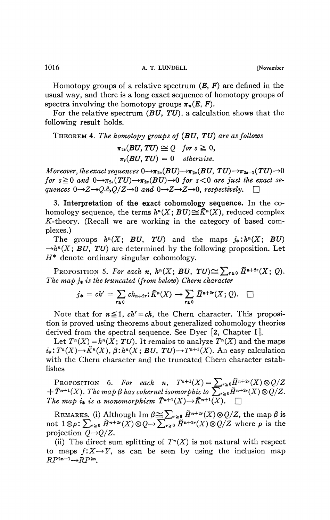Homotopy groups of a relative spectrum *(E, F)* are defined in the usual way, and there is a long exact sequence of homotopy groups of spectra involving the homotopy groups  $\pi_n(E, F)$ .

For the relative spectrum *(BU, TU),* a calculation shows that the following result holds.

THEOREM 4. *The homotopy groups of (BU, TU) are as follows* 

$$
\pi_{2s}(BU, TU) \cong Q \quad \text{for } s \geq 0,
$$
  

$$
\pi_r(BU, TU) = 0 \quad \text{otherwise.}
$$

*Moreover, the exact sequences*  $0 \rightarrow \pi_{2s}(BU) \rightarrow \pi_{2s}(BU, TU) \rightarrow \pi_{2s-1}(TU) \rightarrow 0$ *for*  $s \ge 0$  and  $0 \rightarrow \pi_{2s}(TU) \rightarrow \pi_{2s}(BU) \rightarrow 0$  *for*  $s < 0$  are just the exact se*quences*  $0 \rightarrow Z \rightarrow Q \rightarrow Q/Z \rightarrow 0$  and  $0 \rightarrow Z \rightarrow Z \rightarrow 0$ , respectively.

3. **Interpretation of the exact cohomology sequence.** In the cohomology sequence, the terms  $h^n(X; BU) {\cong} \widetilde{K}^n(X),$  reduced complex  $K$ -theory. (Recall we are working in the category of based complexes.)

The groups  $h^n(X; BU, TU)$  and the maps  $j^*: h^n(X; BU)$  $\rightarrow h^n(X; BU, TU)$  are determined by the following proposition. Let *H\** denote ordinary singular cohomology.

PROPOSITION 5. For each n,  $h^n(X; BU, TU) \cong \sum_{r \geq 0} \tilde{H}^{n+2r}(X; Q)$ . *The map*  $j_*$  *is the truncated (from below) Chern character* 

$$
j_* = ch' = \sum_{r \geq 0} ch_{n+2r} \colon \widetilde{K}^n(X) \to \sum_{r \geq 0} \widetilde{H}^{n+2r}(X; Q). \quad \Box
$$

Note that for  $n \leq 1$ ,  $ch' = ch$ , the Chern character. This proposition is proved using theorems about generalized cohomology theories derived from the spectral sequence. See Dyer [2, Chapter I].

Let  $T^n(X) = h^n(X; TU)$ . It remains to analyze  $T^n(X)$  and the maps  $i_*: T^n(X) \to \tilde{K}^n(X), \beta : h^n(X; BU, TU) \to T^{n+1}(X)$ . An easy calculation with the Chern character and the truncated Chern character establishes

PROPOSITION 6. For each n,  $T^{n+1}(X) = \sum_{r \geq 0} \tilde{H}^{n+2r}(X) \otimes Q/Z$  $+ \tilde{T}^{n+1}(X)$ . The map  $\beta$  has cokernel isomorphic to  $\sum_{r\geq 0} \tilde{H}^{n+2r}(X) \otimes Q/Z$ . *The map i is a monomorphism*  $\tilde{T}^{n+1}(X) \rightarrow \tilde{K}^{n+1}(X)$ .  $\Box$ 

REMARKS. (i) Although Im  $\beta \cong \sum_{r \geq 0} \tilde{H}^{n+2r}(X) \otimes Q/Z$ , the map  $\beta$  is not  $1 \otimes \rho$ :  $\sum_{r \geq 0} \tilde{H}^{n+2r}(X) \otimes Q \rightarrow \sum_{r \geq 0} \tilde{H}^{n+2r}(X) \otimes Q/Z$  where  $\rho$  is the projection  $Q \rightarrow Q/Z$ .

(ii) The direct sum splitting of  $T<sup>n</sup>(X)$  is not natural with respect to maps  $f: X \rightarrow Y$ , as can be seen by using the inclusion map  $RP^{2n-1} \rightarrow R P^{2n}$ .